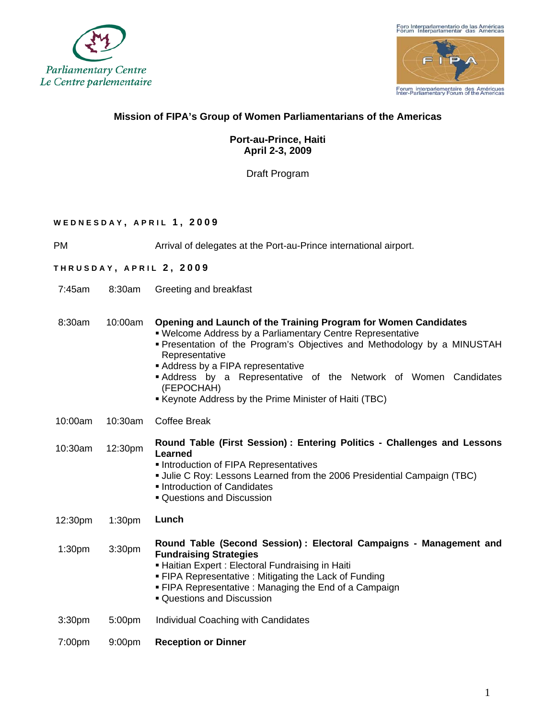



## **Mission of FIPA's Group of Women Parliamentarians of the Americas**

## **Port-au-Prince, Haiti April 2-3, 2009**

Draft Program

### **WEDNESDAY , APRIL 1 , 2009**

PM Arrival of delegates at the Port-au-Prince international airport.

#### **THRUSDAY , APRIL 2 , 2009**

7:45am 8:30am Greeting and breakfast

#### 8:30am 10:00am **Opening and Launch of the Training Program for Women Candidates**

- Welcome Address by a Parliamentary Centre Representative
- Presentation of the Program's Objectives and Methodology by a MINUSTAH Representative
- Address by a FIPA representative
- Address by a Representative of the Network of Women Candidates (FEPOCHAH)
- Keynote Address by the Prime Minister of Haiti (TBC)
- 10:00am 10:30am Coffee Break

10:30am 12:30pm **Round Table (First Session) : Entering Politics - Challenges and Lessons Learned** 

- **Introduction of FIPA Representatives**
- Julie C Roy: Lessons Learned from the 2006 Presidential Campaign (TBC)
- **Introduction of Candidates**
- Questions and Discussion

12:30pm 1:30pm **Lunch** 

1:30pm 3:30pm **Round Table (Second Session) : Electoral Campaigns - Management and Fundraising Strategies** 

- Haitian Expert : Electoral Fundraising in Haiti
- FIPA Representative : Mitigating the Lack of Funding
- FIPA Representative : Managing the End of a Campaign
- Questions and Discussion
- 3:30pm 5:00pm Individual Coaching with Candidates
- 7:00pm 9:00pm **Reception or Dinner**